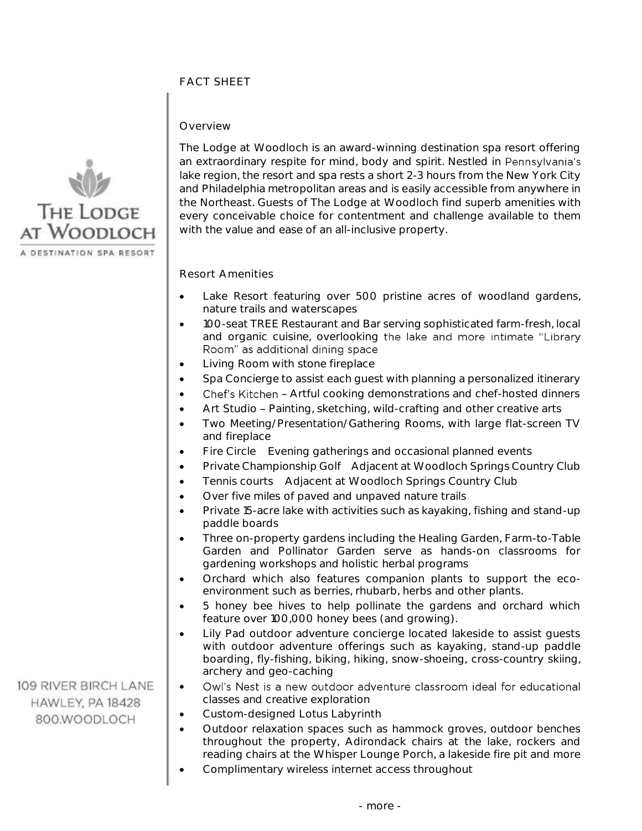# FACT SHEET

### Overview



109 RIVER BIRCH LANE

HAWLEY, PA 18428 800.WOODLOCH

The Lodge at Woodloch is an award-winning destination spa resort offering an extraordinary respite for mind, body and spirit. Nestled in Pennsylvania's lake region, the resort and spa rests a short 2-3 hours from the New York City and Philadelphia metropolitan areas and is easily accessible from anywhere in the Northeast. Guests of The Lodge at Woodloch find superb amenities with every conceivable choice for contentment and challenge available to them with the value and ease of an all-inclusive property.

### Resort Amenities

- Lake Resort featuring over 500 pristine acres of woodland gardens, nature trails and waterscapes
- 100-seat TREE Restaurant and Bar serving sophisticated farm-fresh, local and organic cuisine, overlooking the lake and more intimate "Library Room" as additional dining space
- Living Room with stone fireplace
- Spa Concierge to assist each guest with planning a personalized itinerary
- Chef's Kitchen Artful cooking demonstrations and chef-hosted dinners
- Art Studio Painting, sketching, wild-crafting and other creative arts
- Two Meeting/Presentation/Gathering Rooms, with large flat-screen TV and fireplace
- Fire Circle Evening gatherings and occasional planned events
- Private Championship Golf Adjacent at Woodloch Springs Country Club
- Tennis courts Adjacent at Woodloch Springs Country Club
	- Over five miles of paved and unpaved nature trails
	- Private 15-acre lake with activities such as kayaking, fishing and stand-up paddle boards
	- Three on-property gardens including the Healing Garden, Farm-to-Table Garden and Pollinator Garden serve as hands-on classrooms for gardening workshops and holistic herbal programs
	- Orchard which also features companion plants to support the ecoenvironment such as berries, rhubarb, herbs and other plants.
	- 5 honey bee hives to help pollinate the gardens and orchard which feature over 100,000 honey bees (and growing).
	- Lily Pad outdoor adventure concierge located lakeside to assist guests with outdoor adventure offerings such as kayaking, stand-up paddle boarding, fly-fishing, biking, hiking, snow-shoeing, cross-country skiing, archery and geo-caching
	- Owl's Nest is a new outdoor adventure classroom ideal for educational • classes and creative exploration
	- Custom-designed Lotus Labyrinth
	- Outdoor relaxation spaces such as hammock groves, outdoor benches throughout the property, Adirondack chairs at the lake, rockers and reading chairs at the Whisper Lounge Porch, a lakeside fire pit and more
	- Complimentary wireless internet access throughout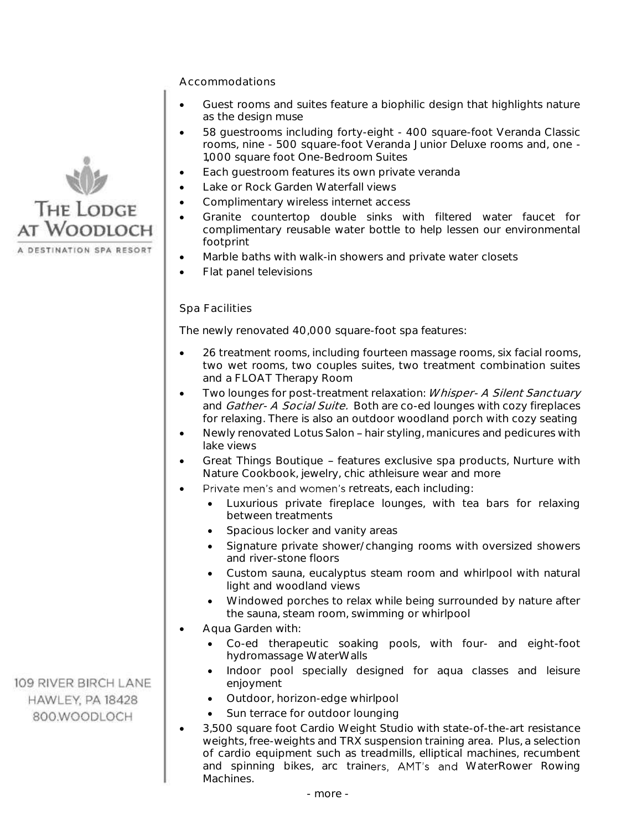Accommodations

- • Guest rooms and suites feature a biophilic design that highlights nature as the design muse
- • 58 guestrooms including forty-eight 400 square-foot Veranda Classic rooms, nine - 500 square-foot Veranda Junior Deluxe rooms and, one - 1,000 square foot One-Bedroom Suites
- Each guestroom features its own private veranda
- Lake or Rock Garden Waterfall views
- Complimentary wireless internet access
- • Granite countertop double sinks with filtered water faucet for complimentary reusable water bottle to help lessen our environmental footprint
- Marble baths with walk-in showers and private water closets
- Flat panel televisions

## Spa Facilities

The newly renovated 40,000 square-foot spa features:

- • 26 treatment rooms, including fourteen massage rooms, six facial rooms, two wet rooms, two couples suites, two treatment combination suites and a FLOAT Therapy Room
- Two lounges for post-treatment relaxation: Whisper- A Silent Sanctuary and *Gather- A Social Suite.* Both are co-ed lounges with cozy fireplaces for relaxing. There is also an outdoor woodland porch with cozy seating
- Newly renovated Lotus Salon hair styling, manicures and pedicures with lake views
- Great Things Boutique features exclusive spa products, Nurture with Nature Cookbook, jewelry, chic athleisure wear and more
- retreats, each including: •
	- • Luxurious private fireplace lounges, with tea bars for relaxing between treatments
	- Spacious locker and vanity areas
	- • Signature private shower/changing rooms with oversized showers and river-stone floors
	- • Custom sauna, eucalyptus steam room and whirlpool with natural light and woodland views
	- • Windowed porches to relax while being surrounded by nature after the sauna, steam room, swimming or whirlpool
- • Aqua Garden with:
	- • Co-ed therapeutic soaking pools, with four- and eight-foot hydromassage WaterWalls
	- • Indoor pool specially designed for aqua classes and leisure enjoyment
	- Outdoor, horizon-edge whirlpool
	- Sun terrace for outdoor lounging
- • 3,500 square foot Cardio Weight Studio with state-of-the-art resistance weights, free-weights and TRX suspension training area. Plus, a selection of cardio equipment such as treadmills, elliptical machines, recumbent and spinning bikes, arc trainers, AMT's and WaterRower Rowing Machines.



109 RIVER BIRCH LANE HAWLEY, PA 18428 800.WOODLOCH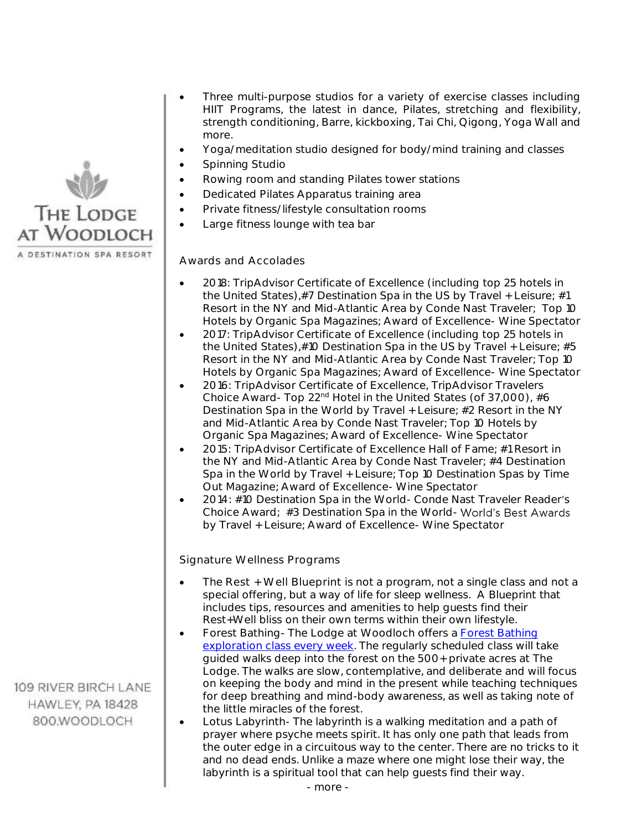

 • Three multi-purpose studios for a variety of exercise classes including HIIT Programs, the latest in dance, Pilates, stretching and flexibility, strength conditioning, Barre, kickboxing, Tai Chi, Qigong, Yoga Wall and more.

- Yoga/meditation studio designed for body/mind training and classes
- Spinning Studio
- Rowing room and standing Pilates tower stations
- Dedicated Pilates Apparatus training area
- Private fitness/lifestyle consultation rooms
- Large fitness lounge with tea bar

#### Awards and Accolades

- • 2018: TripAdvisor Certificate of Excellence (including top 25 hotels in the United States),#7 Destination Spa in the US by Travel + Leisure; #1 Resort in the NY and Mid-Atlantic Area by Conde Nast Traveler; Top 10 Hotels by Organic Spa Magazines; Award of Excellence- Wine Spectator
- • 2017: TripAdvisor Certificate of Excellence (including top 25 hotels in the United States),#10 Destination Spa in the US by Travel + Leisure; #5 Resort in the NY and Mid-Atlantic Area by Conde Nast Traveler; Top 10 Hotels by Organic Spa Magazines; Award of Excellence- Wine Spectator
- • 2016: TripAdvisor Certificate of Excellence, TripAdvisor Travelers Choice Award- Top 22<sup>nd</sup> Hotel in the United States (of 37,000), #6 Destination Spa in the World by Travel + Leisure; #2 Resort in the NY and Mid-Atlantic Area by Conde Nast Traveler; Top 10 Hotels by Organic Spa Magazines; Award of Excellence- Wine Spectator
- • 2015: TripAdvisor Certificate of Excellence Hall of Fame; #1 Resort in the NY and Mid-Atlantic Area by Conde Nast Traveler; #4 Destination Spa in the World by Travel + Leisure; Top 10 Destination Spas by Time Out Magazine; Award of Excellence- Wine Spectator
- 2014: #10 Destination Spa in the World- Conde Nast Traveler Reader's Choice Award; #3 Destination Spa in the World-by Travel + Leisure; Award of Excellence- Wine Spectator

Signature Wellness Programs

- • The Rest + Well Blueprint is not a program, not a single class and not a special offering, but a way of life for sleep wellness. A Blueprint that includes tips, resources and amenities to help guests find their Rest+Well bliss on their own terms within their own lifestyle.
- Forest Bathing- The Lodge at Woodloch offers a Forest Bathing [exploration class every week.](http://www.thelodgeatwoodloch.com/events-calendar/) The regularly scheduled class will take guided walks deep into the forest on the 500+ private acres at The Lodge. The walks are slow, contemplative, and deliberate and will focus on keeping the body and mind in the present while teaching techniques for deep breathing and mind-body awareness, as well as taking note of the little miracles of the forest.
- • Lotus Labyrinth- The labyrinth is a walking meditation and a path of prayer where psyche meets spirit. It has only one path that leads from the outer edge in a circuitous way to the center. There are no tricks to it and no dead ends. Unlike a maze where one might lose their way, the labyrinth is a spiritual tool that can help guests find their way.

109 RIVER BIRCH LANE HAWLEY, PA 18428 800.WOODLOCH